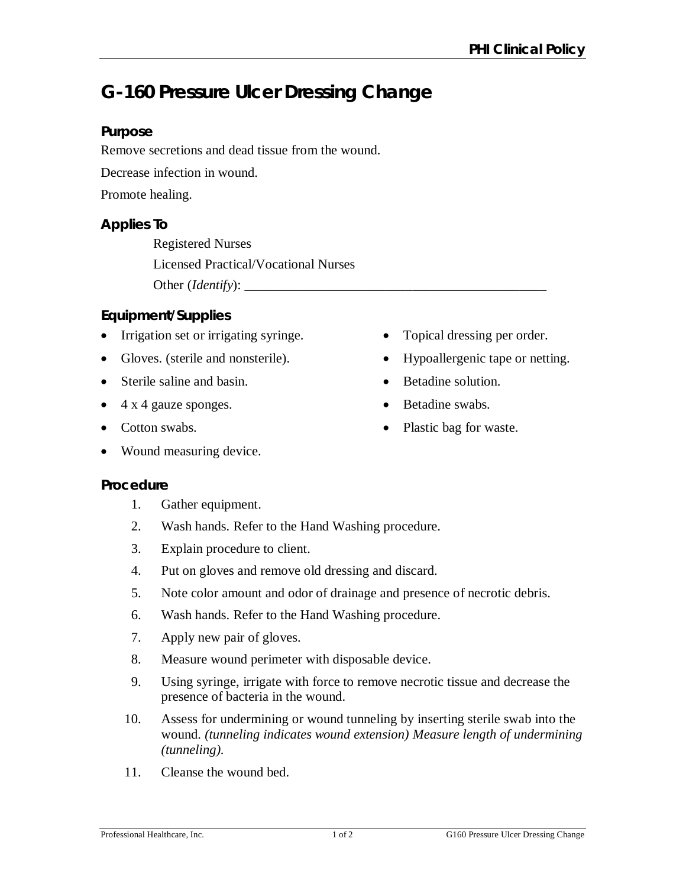# **G-160 Pressure Ulcer Dressing Change**

# **Purpose**

Remove secretions and dead tissue from the wound.

Decrease infection in wound.

Promote healing.

# **Applies To**

Registered Nurses Licensed Practical/Vocational Nurses Other (*Identify*): \_\_\_\_\_\_\_\_\_\_\_\_\_\_\_\_\_\_\_\_\_\_\_\_\_\_\_\_\_\_\_\_\_\_\_\_\_\_\_\_\_\_\_\_\_

# **Equipment/Supplies**

- Irrigation set or irrigating syringe.
- Gloves. (sterile and nonsterile).
- Sterile saline and basin.
- $\bullet$  4 x 4 gauze sponges.
- Cotton swabs.
- Wound measuring device.
- **Procedure**
	- 1. Gather equipment.
	- 2. Wash hands. Refer to the Hand Washing procedure.
	- 3. Explain procedure to client.
	- 4. Put on gloves and remove old dressing and discard.
	- 5. Note color amount and odor of drainage and presence of necrotic debris.
	- 6. Wash hands. Refer to the Hand Washing procedure.
	- 7. Apply new pair of gloves.
	- 8. Measure wound perimeter with disposable device.
	- 9. Using syringe, irrigate with force to remove necrotic tissue and decrease the presence of bacteria in the wound.
	- 10. Assess for undermining or wound tunneling by inserting sterile swab into the wound. *(tunneling indicates wound extension) Measure length of undermining (tunneling).*
	- 11. Cleanse the wound bed.

Hypoallergenic tape or netting.

• Topical dressing per order.

- Betadine solution.
- Betadine swabs.
- Plastic bag for waste.